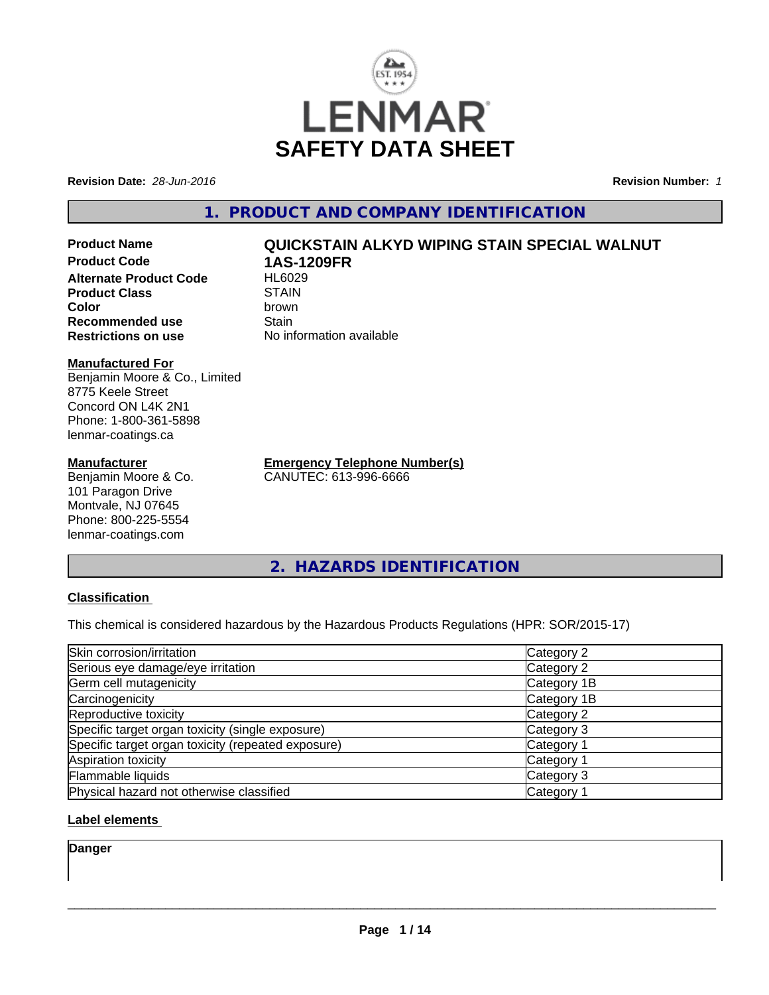

**Revision Date:** *28-Jun-2016* **Revision Number:** *1*

**1. PRODUCT AND COMPANY IDENTIFICATION**

**Product Name QUICKSTAIN ALKYD WIPING STAIN SPECIAL WALNUT Product Code 1AS-1209FR Alternate Product Code Product Class** STAIN<br> **Color** brown **Color** brown **Recommended use Stain** 

#### **Manufactured For**

Benjamin Moore & Co., Limited 8775 Keele Street Concord ON L4K 2N1 Phone: 1-800-361-5898 lenmar-coatings.ca

#### **Manufacturer**

Benjamin Moore & Co. 101 Paragon Drive Montvale, NJ 07645 Phone: 800-225-5554 lenmar-coatings.com

**Restrictions on use** No information available

**Emergency Telephone Number(s)** CANUTEC: 613-996-6666

**2. HAZARDS IDENTIFICATION**

### **Classification**

This chemical is considered hazardous by the Hazardous Products Regulations (HPR: SOR/2015-17)

| Skin corrosion/irritation                          | Category 2            |
|----------------------------------------------------|-----------------------|
| Serious eye damage/eye irritation                  | Category 2            |
| Germ cell mutagenicity                             | Category 1B           |
| Carcinogenicity                                    | Category 1B           |
| Reproductive toxicity                              | Category 2            |
| Specific target organ toxicity (single exposure)   | Category 3            |
| Specific target organ toxicity (repeated exposure) | Category 1            |
| Aspiration toxicity                                | Category <sup>2</sup> |
| Flammable liquids                                  | Category 3            |
| Physical hazard not otherwise classified           | Category <sup>2</sup> |

### **Label elements**

**Danger**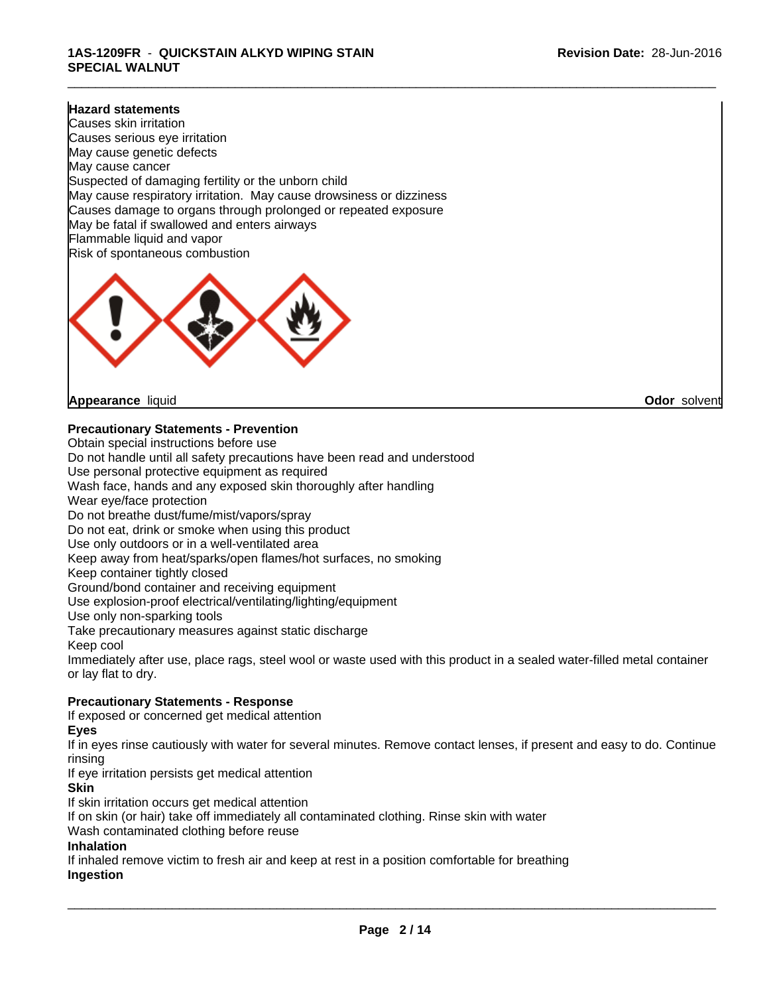#### **Hazard statements**

Causes skin irritation Causes serious eye irritation May cause genetic defects May cause cancer Suspected of damaging fertility or the unborn child May cause respiratory irritation. May cause drowsiness or dizziness Causes damage to organs through prolonged or repeated exposure May be fatal if swallowed and enters airways Flammable liquid and vapor Risk of spontaneous combustion



**Appearance** liquid **Odor** solvent

**Precautionary Statements - Prevention**

Obtain special instructions before use Do not handle until all safety precautions have been read and understood Use personal protective equipment as required Wash face, hands and any exposed skin thoroughly after handling Wear eye/face protection Do not breathe dust/fume/mist/vapors/spray Do not eat, drink or smoke when using this product Use only outdoors or in a well-ventilated area Keep away from heat/sparks/open flames/hot surfaces, no smoking Keep container tightly closed Ground/bond container and receiving equipment Use explosion-proof electrical/ventilating/lighting/equipment Use only non-sparking tools Take precautionary measures against static discharge Keep cool Immediately after use, place rags, steel wool or waste used with this product in a sealed water-filled metal container or lay flat to dry. **Precautionary Statements - Response** If exposed or concerned get medical attention

#### **Eyes**

If in eyes rinse cautiously with water for several minutes. Remove contact lenses, if present and easy to do. Continue rinsing

If eye irritation persists get medical attention

#### **Skin**

If skin irritation occurs get medical attention

If on skin (or hair) take off immediately all contaminated clothing. Rinse skin with water

Wash contaminated clothing before reuse

#### **Inhalation**

If inhaled remove victim to fresh air and keep at rest in a position comfortable for breathing **Ingestion**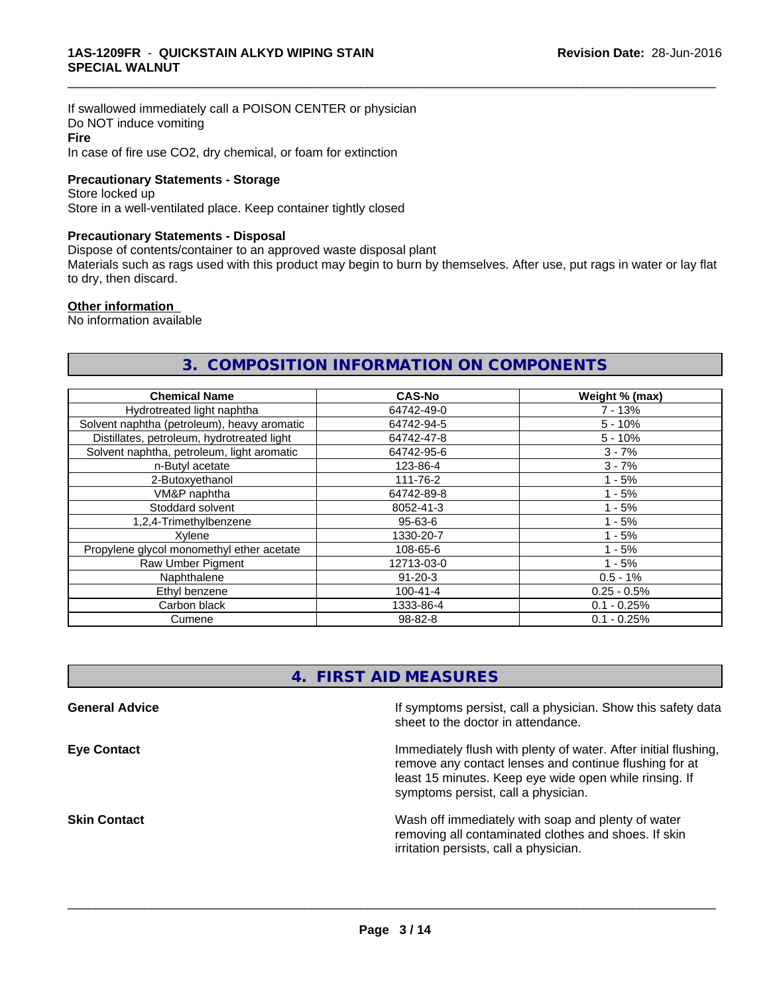If swallowed immediately call a POISON CENTER or physician Do NOT induce vomiting **Fire** In case of fire use CO2, dry chemical, or foam for extinction

#### **Precautionary Statements - Storage**

Store locked up Store in a well-ventilated place. Keep container tightly closed

#### **Precautionary Statements - Disposal**

Dispose of contents/container to an approved waste disposal plant

Materials such as rags used with this product may begin to burn by themselves. After use, put rags in water or lay flat to dry, then discard.

\_\_\_\_\_\_\_\_\_\_\_\_\_\_\_\_\_\_\_\_\_\_\_\_\_\_\_\_\_\_\_\_\_\_\_\_\_\_\_\_\_\_\_\_\_\_\_\_\_\_\_\_\_\_\_\_\_\_\_\_\_\_\_\_\_\_\_\_\_\_\_\_\_\_\_\_\_\_\_\_\_\_\_\_\_\_\_\_\_\_\_\_\_

#### **Other information**

No information available

# **3. COMPOSITION INFORMATION ON COMPONENTS**

| <b>Chemical Name</b>                        | <b>CAS-No</b>  | Weight % (max) |
|---------------------------------------------|----------------|----------------|
| Hydrotreated light naphtha                  | 64742-49-0     | $7 - 13%$      |
| Solvent naphtha (petroleum), heavy aromatic | 64742-94-5     | $5 - 10%$      |
| Distillates, petroleum, hydrotreated light  | 64742-47-8     | $5 - 10%$      |
| Solvent naphtha, petroleum, light aromatic  | 64742-95-6     | $3 - 7%$       |
| n-Butyl acetate                             | 123-86-4       | $3 - 7%$       |
| 2-Butoxyethanol                             | 111-76-2       | $1 - 5%$       |
| VM&P naphtha                                | 64742-89-8     | $1 - 5%$       |
| Stoddard solvent                            | 8052-41-3      | $1 - 5%$       |
| 1,2,4-Trimethylbenzene                      | 95-63-6        | $1 - 5%$       |
| Xylene                                      | 1330-20-7      | $1 - 5%$       |
| Propylene glycol monomethyl ether acetate   | 108-65-6       | $1 - 5%$       |
| Raw Umber Pigment                           | 12713-03-0     | $1 - 5%$       |
| Naphthalene                                 | $91 - 20 - 3$  | $0.5 - 1%$     |
| Ethyl benzene                               | $100 - 41 - 4$ | $0.25 - 0.5%$  |
| Carbon black                                | 1333-86-4      | $0.1 - 0.25%$  |
| Cumene                                      | 98-82-8        | $0.1 - 0.25%$  |

# **4. FIRST AID MEASURES**

| <b>General Advice</b> | If symptoms persist, call a physician. Show this safety data<br>sheet to the doctor in attendance.                                                                                                                         |
|-----------------------|----------------------------------------------------------------------------------------------------------------------------------------------------------------------------------------------------------------------------|
| <b>Eye Contact</b>    | Immediately flush with plenty of water. After initial flushing,<br>remove any contact lenses and continue flushing for at<br>least 15 minutes. Keep eye wide open while rinsing. If<br>symptoms persist, call a physician. |
| <b>Skin Contact</b>   | Wash off immediately with soap and plenty of water<br>removing all contaminated clothes and shoes. If skin<br>irritation persists, call a physician.                                                                       |
|                       |                                                                                                                                                                                                                            |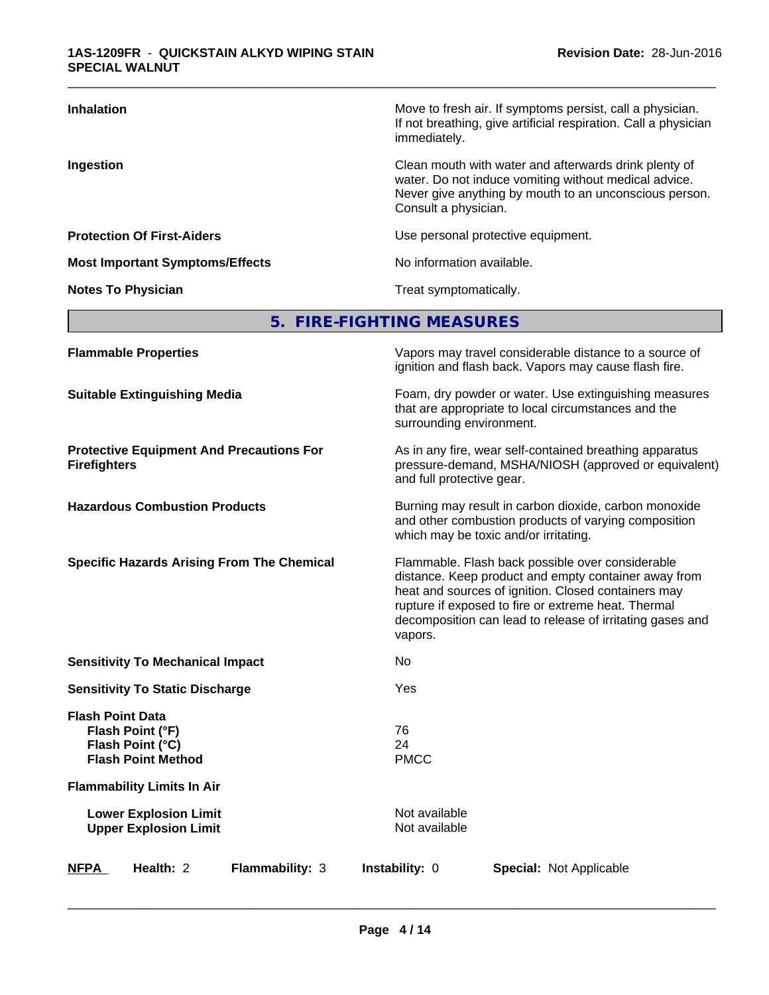| <b>Inhalation</b>                      | Move to fresh air. If symptoms persist, call a physician.<br>If not breathing, give artificial respiration. Call a physician<br>immediately.                                                     |
|----------------------------------------|--------------------------------------------------------------------------------------------------------------------------------------------------------------------------------------------------|
| Ingestion                              | Clean mouth with water and afterwards drink plenty of<br>water. Do not induce vomiting without medical advice.<br>Never give anything by mouth to an unconscious person.<br>Consult a physician. |
| <b>Protection Of First-Aiders</b>      | Use personal protective equipment.                                                                                                                                                               |
| <b>Most Important Symptoms/Effects</b> | No information available.                                                                                                                                                                        |
| <b>Notes To Physician</b>              | Treat symptomatically.                                                                                                                                                                           |

# **5. FIRE-FIGHTING MEASURES**

| <b>Flammable Properties</b>                                                                  | Vapors may travel considerable distance to a source of<br>ignition and flash back. Vapors may cause flash fire.                                                                                                                                                                                |
|----------------------------------------------------------------------------------------------|------------------------------------------------------------------------------------------------------------------------------------------------------------------------------------------------------------------------------------------------------------------------------------------------|
| <b>Suitable Extinguishing Media</b>                                                          | Foam, dry powder or water. Use extinguishing measures<br>that are appropriate to local circumstances and the<br>surrounding environment.                                                                                                                                                       |
| <b>Protective Equipment And Precautions For</b><br><b>Firefighters</b>                       | As in any fire, wear self-contained breathing apparatus<br>pressure-demand, MSHA/NIOSH (approved or equivalent)<br>and full protective gear.                                                                                                                                                   |
| <b>Hazardous Combustion Products</b>                                                         | Burning may result in carbon dioxide, carbon monoxide<br>and other combustion products of varying composition<br>which may be toxic and/or irritating.                                                                                                                                         |
| <b>Specific Hazards Arising From The Chemical</b>                                            | Flammable. Flash back possible over considerable<br>distance. Keep product and empty container away from<br>heat and sources of ignition. Closed containers may<br>rupture if exposed to fire or extreme heat. Thermal<br>decomposition can lead to release of irritating gases and<br>vapors. |
| <b>Sensitivity To Mechanical Impact</b>                                                      | No                                                                                                                                                                                                                                                                                             |
| <b>Sensitivity To Static Discharge</b>                                                       | Yes                                                                                                                                                                                                                                                                                            |
| <b>Flash Point Data</b><br>Flash Point (°F)<br>Flash Point (°C)<br><b>Flash Point Method</b> | 76<br>24<br><b>PMCC</b>                                                                                                                                                                                                                                                                        |
| <b>Flammability Limits In Air</b>                                                            |                                                                                                                                                                                                                                                                                                |
| <b>Lower Explosion Limit</b><br><b>Upper Explosion Limit</b>                                 | Not available<br>Not available                                                                                                                                                                                                                                                                 |
| Flammability: 3<br>Health: 2<br><b>NFPA</b>                                                  | Instability: 0<br><b>Special: Not Applicable</b>                                                                                                                                                                                                                                               |
|                                                                                              |                                                                                                                                                                                                                                                                                                |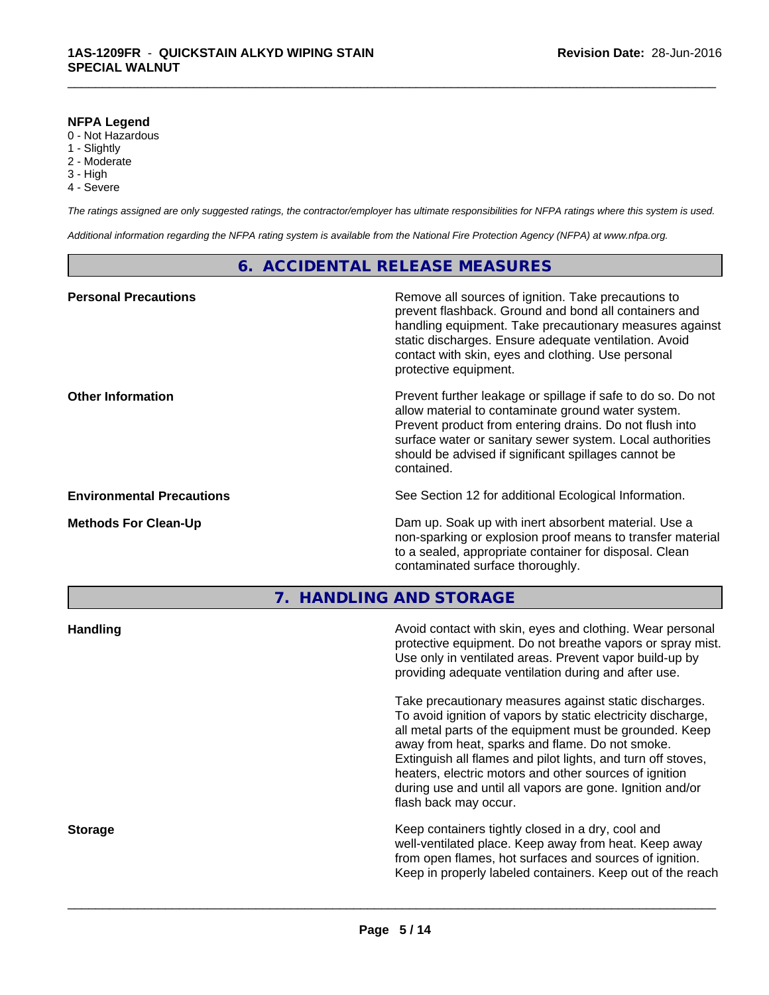#### **NFPA Legend**

- 0 Not Hazardous
- 1 Slightly
- 2 Moderate
- 3 High
- 4 Severe

*The ratings assigned are only suggested ratings, the contractor/employer has ultimate responsibilities for NFPA ratings where this system is used.*

\_\_\_\_\_\_\_\_\_\_\_\_\_\_\_\_\_\_\_\_\_\_\_\_\_\_\_\_\_\_\_\_\_\_\_\_\_\_\_\_\_\_\_\_\_\_\_\_\_\_\_\_\_\_\_\_\_\_\_\_\_\_\_\_\_\_\_\_\_\_\_\_\_\_\_\_\_\_\_\_\_\_\_\_\_\_\_\_\_\_\_\_\_

*Additional information regarding the NFPA rating system is available from the National Fire Protection Agency (NFPA) at www.nfpa.org.*

# **6. ACCIDENTAL RELEASE MEASURES**

| <b>Personal Precautions</b>      | Remove all sources of ignition. Take precautions to<br>prevent flashback. Ground and bond all containers and<br>handling equipment. Take precautionary measures against<br>static discharges. Ensure adequate ventilation. Avoid<br>contact with skin, eyes and clothing. Use personal<br>protective equipment.  |
|----------------------------------|------------------------------------------------------------------------------------------------------------------------------------------------------------------------------------------------------------------------------------------------------------------------------------------------------------------|
| <b>Other Information</b>         | Prevent further leakage or spillage if safe to do so. Do not<br>allow material to contaminate ground water system.<br>Prevent product from entering drains. Do not flush into<br>surface water or sanitary sewer system. Local authorities<br>should be advised if significant spillages cannot be<br>contained. |
| <b>Environmental Precautions</b> | See Section 12 for additional Ecological Information.                                                                                                                                                                                                                                                            |
| <b>Methods For Clean-Up</b>      | Dam up. Soak up with inert absorbent material. Use a<br>non-sparking or explosion proof means to transfer material<br>to a sealed, appropriate container for disposal. Clean<br>contaminated surface thoroughly.                                                                                                 |
|                                  |                                                                                                                                                                                                                                                                                                                  |

**7. HANDLING AND STORAGE**

| <b>Handling</b> | Avoid contact with skin, eyes and clothing. Wear personal<br>protective equipment. Do not breathe vapors or spray mist.<br>Use only in ventilated areas. Prevent vapor build-up by<br>providing adequate ventilation during and after use.                                                                                                                                                                                                           |
|-----------------|------------------------------------------------------------------------------------------------------------------------------------------------------------------------------------------------------------------------------------------------------------------------------------------------------------------------------------------------------------------------------------------------------------------------------------------------------|
|                 | Take precautionary measures against static discharges.<br>To avoid ignition of vapors by static electricity discharge,<br>all metal parts of the equipment must be grounded. Keep<br>away from heat, sparks and flame. Do not smoke.<br>Extinguish all flames and pilot lights, and turn off stoves,<br>heaters, electric motors and other sources of ignition<br>during use and until all vapors are gone. Ignition and/or<br>flash back may occur. |
| <b>Storage</b>  | Keep containers tightly closed in a dry, cool and<br>well-ventilated place. Keep away from heat. Keep away<br>from open flames, hot surfaces and sources of ignition.<br>Keep in properly labeled containers. Keep out of the reach                                                                                                                                                                                                                  |
|                 |                                                                                                                                                                                                                                                                                                                                                                                                                                                      |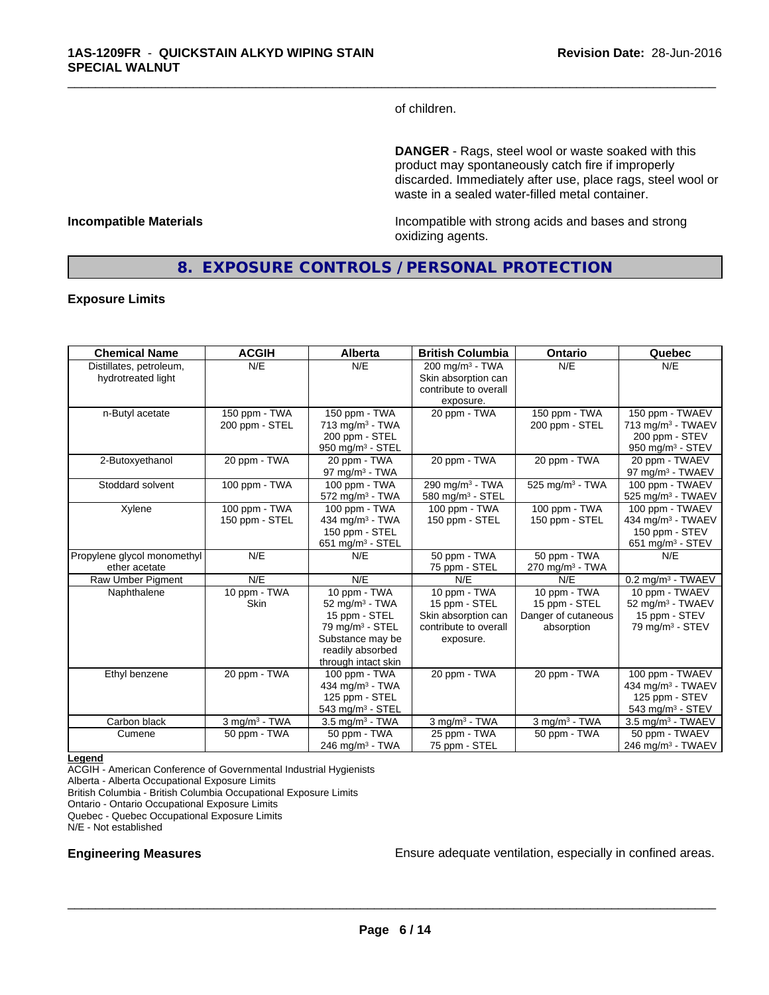of children.

\_\_\_\_\_\_\_\_\_\_\_\_\_\_\_\_\_\_\_\_\_\_\_\_\_\_\_\_\_\_\_\_\_\_\_\_\_\_\_\_\_\_\_\_\_\_\_\_\_\_\_\_\_\_\_\_\_\_\_\_\_\_\_\_\_\_\_\_\_\_\_\_\_\_\_\_\_\_\_\_\_\_\_\_\_\_\_\_\_\_\_\_\_

**DANGER** - Rags, steel wool or waste soaked with this product may spontaneously catch fire if improperly discarded. Immediately after use, place rags, steel wool or waste in a sealed water-filled metal container.

**Incompatible Materials Incompatible with strong acids and bases and strong** oxidizing agents.

## **8. EXPOSURE CONTROLS / PERSONAL PROTECTION**

#### **Exposure Limits**

| <b>Chemical Name</b>                          | <b>ACGIH</b>                    | <b>Alberta</b>                                                                                                                                           | <b>British Columbia</b>                                                                    | <b>Ontario</b>                                                     | Quebec                                                                                             |
|-----------------------------------------------|---------------------------------|----------------------------------------------------------------------------------------------------------------------------------------------------------|--------------------------------------------------------------------------------------------|--------------------------------------------------------------------|----------------------------------------------------------------------------------------------------|
| Distillates, petroleum,<br>hydrotreated light | N/E                             | N/E                                                                                                                                                      | 200 mg/m <sup>3</sup> - TWA<br>Skin absorption can<br>contribute to overall                | N/E                                                                | N/E                                                                                                |
| n-Butyl acetate                               | 150 ppm - TWA<br>200 ppm - STEL | 150 ppm - TWA<br>$713$ mg/m <sup>3</sup> - TWA<br>200 ppm - STEL<br>950 mg/m <sup>3</sup> - STEL                                                         | exposure.<br>20 ppm - TWA                                                                  | 150 ppm - TWA<br>200 ppm - STEL                                    | 150 ppm - TWAEV<br>713 mg/m <sup>3</sup> - TWAEV<br>200 ppm - STEV<br>950 mg/m $3 -$ STEV          |
| 2-Butoxyethanol                               | 20 ppm - TWA                    | 20 ppm - TWA<br>$97 \text{ mg/m}^3$ - TWA                                                                                                                | 20 ppm - TWA                                                                               | 20 ppm - TWA                                                       | 20 ppm - TWAEV<br>97 mg/m <sup>3</sup> - TWAEV                                                     |
| Stoddard solvent                              | 100 ppm - TWA                   | 100 ppm - TWA<br>$572$ mg/m <sup>3</sup> - TWA                                                                                                           | 290 mg/m <sup>3</sup> - TWA<br>580 mg/m <sup>3</sup> - STEL                                | $525 \overline{\mathrm{mg/m^3}}$ - TWA                             | 100 ppm - TWAEV<br>525 mg/m <sup>3</sup> - TWAEV                                                   |
| Xylene                                        | 100 ppm - TWA<br>150 ppm - STEL | $100$ ppm - TWA<br>434 mg/m $3$ - TWA<br>150 ppm - STEL<br>651 mg/m $3 -$ STEL                                                                           | 100 ppm - TWA<br>150 ppm - STEL                                                            | 100 ppm - TWA<br>150 ppm - STEL                                    | 100 ppm - TWAEV<br>434 mg/m <sup>3</sup> - TWAEV<br>150 ppm - STEV<br>651 mg/m <sup>3</sup> - STEV |
| Propylene glycol monomethyl<br>ether acetate  | N/E                             | N/E                                                                                                                                                      | 50 ppm - TWA<br>75 ppm - STEL                                                              | 50 ppm - TWA<br>$270$ mg/m <sup>3</sup> - TWA                      | N/E                                                                                                |
| Raw Umber Pigment                             | N/E                             | N/E                                                                                                                                                      | N/E                                                                                        | N/E                                                                | $0.2$ mg/m <sup>3</sup> - TWAEV                                                                    |
| Naphthalene                                   | 10 ppm - TWA<br><b>Skin</b>     | 10 ppm - TWA<br>$52 \text{ mg/m}^3$ - TWA<br>15 ppm - STEL<br>79 mg/m <sup>3</sup> - STEL<br>Substance may be<br>readily absorbed<br>through intact skin | 10 ppm - TWA<br>15 ppm - STEL<br>Skin absorption can<br>contribute to overall<br>exposure. | 10 ppm - TWA<br>15 ppm - STEL<br>Danger of cutaneous<br>absorption | 10 ppm - TWAEV<br>52 mg/m <sup>3</sup> - TWAEV<br>15 ppm - STEV<br>79 mg/m <sup>3</sup> - STEV     |
| Ethyl benzene                                 | 20 ppm - TWA                    | 100 ppm - TWA<br>434 mg/m <sup>3</sup> - TWA<br>125 ppm - STEL<br>543 mg/m <sup>3</sup> - STEL                                                           | 20 ppm - TWA                                                                               | 20 ppm - TWA                                                       | 100 ppm - TWAEV<br>434 mg/m <sup>3</sup> - TWAEV<br>125 ppm - STEV<br>543 mg/m <sup>3</sup> - STEV |
| Carbon black                                  | $3$ mg/m $3$ - TWA              | $3.5 \text{ mg/m}^3$ - TWA                                                                                                                               | $3$ mg/m $3$ - TWA                                                                         | $3$ mg/m $3$ - TWA                                                 | $3.5$ mg/m <sup>3</sup> - TWAEV                                                                    |
| Cumene                                        | 50 ppm - TWA                    | 50 ppm - TWA<br>$246$ mg/m <sup>3</sup> - TWA                                                                                                            | 25 ppm - TWA<br>75 ppm - STEL                                                              | 50 ppm - TWA                                                       | 50 ppm - TWAEV<br>246 mg/m <sup>3</sup> - TWAEV                                                    |

#### **Legend**

ACGIH - American Conference of Governmental Industrial Hygienists Alberta - Alberta Occupational Exposure Limits British Columbia - British Columbia Occupational Exposure Limits Ontario - Ontario Occupational Exposure Limits Quebec - Quebec Occupational Exposure Limits

N/E - Not established

**Engineering Measures Ensure adequate ventilation, especially in confined areas.**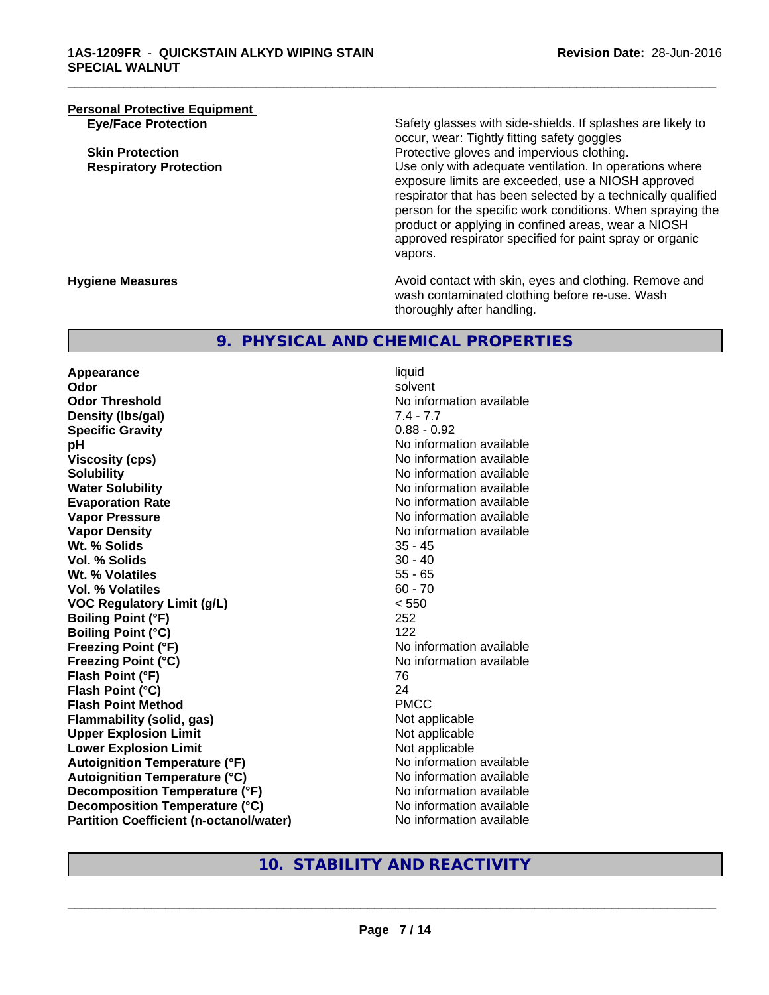**Personal Protective Equipment**<br>**Eye/Face Protection** 

Safety glasses with side-shields. If splashes are likely to occur, wear: Tightly fitting safety goggles **Skin Protection Protection Protective gloves and impervious clothing. Respiratory Protection Number 1** (Use only with adequate ventilation. In operations where exposure limits are exceeded, use a NIOSH approved respirator that has been selected by a technically qualified person for the specific work conditions. When spraying the product or applying in confined areas, wear a NIOSH approved respirator specified for paint spray or organic vapors.

**Hygiene Measures Avoid contact with skin, eyes and clothing. Remove and Avoid contact with skin, eyes and clothing. Remove and Avoid contact with skin, eyes and clothing. Remove and** wash contaminated clothing before re-use. Wash thoroughly after handling.

## **9. PHYSICAL AND CHEMICAL PROPERTIES**

**Appearance** liquid<br> **Appearance** liquid<br> **Odor** solve **Odor** solvent **Odor Threshold No information available No information available Density (Ibs/gal)** 7.4 - 7.7<br> **Specific Gravity** 3.1 - 7.7 0.88 - 0.92 **Specific Gravity pH** No information available **Viscosity (cps)** No information available in the Viscosity (cps) **Solubility No information available No information available Water Solubility Water Solubility No information available Evaporation Rate No information available No information available Vapor Pressure** No information available No information available **Vapor Density**<br> **We Solids**<br>
We Solid Wi, % Solids
25 - 45 Wt. % Solids **Vol. % Solids** 30 - 40 **Wt. % Volatiles** 55 - 65 **Vol. % Volatiles VOC Regulatory Limit (g/L)** < 550 **Boiling Point (°F)** 252 **Boiling Point (°C)** 122 **Freezing Point (°F)** No information available **Freezing Point (°C)** No information available **Flash Point (°F)** 76 **Flash Point (°C)** 24 **Flash Point Method Flammability (solid, gas)** Not applicable **Upper Explosion Limit**<br> **Lower Explosion Limit**<br> **Lower Explosion Limit Lower Explosion Limit Autoignition Temperature (°F)** No information available **Autoignition Temperature (°C)** No information available **Decomposition Temperature (°F)** No information available **Decomposition Temperature (°C)** No information available **Partition Coefficient (n-octanol/water)** No information available

\_\_\_\_\_\_\_\_\_\_\_\_\_\_\_\_\_\_\_\_\_\_\_\_\_\_\_\_\_\_\_\_\_\_\_\_\_\_\_\_\_\_\_\_\_\_\_\_\_\_\_\_\_\_\_\_\_\_\_\_\_\_\_\_\_\_\_\_\_\_\_\_\_\_\_\_\_\_\_\_\_\_\_\_\_\_\_\_\_\_\_\_\_

**10. STABILITY AND REACTIVITY**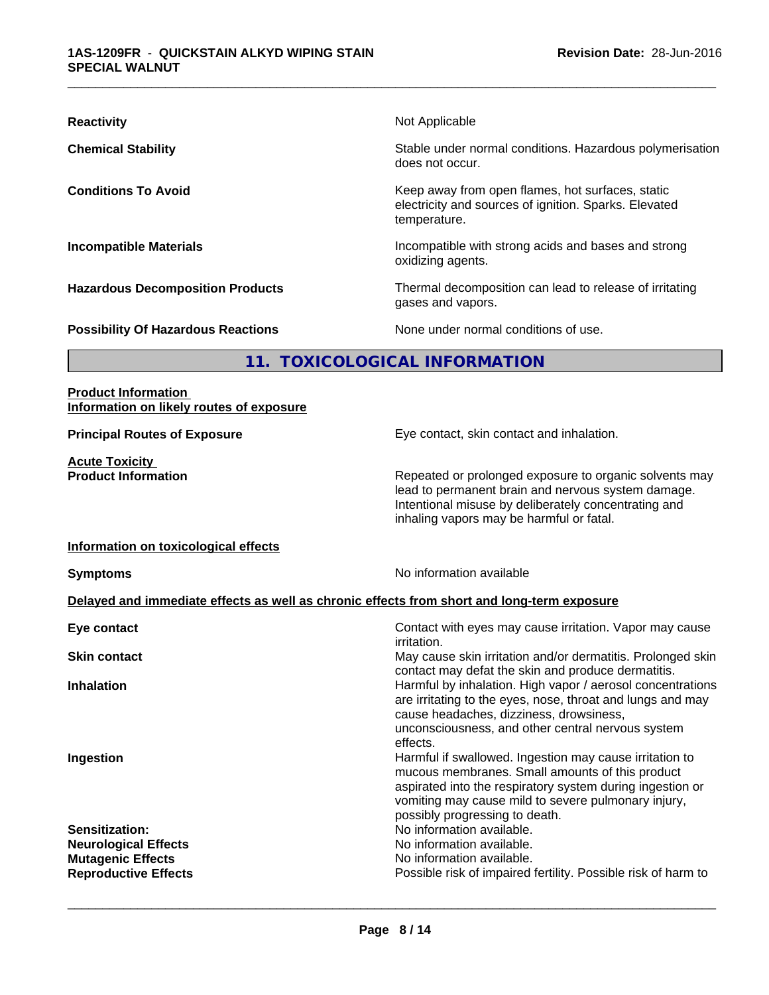| <b>Reactivity</b>                         | Not Applicable                                                                                                            |  |  |  |
|-------------------------------------------|---------------------------------------------------------------------------------------------------------------------------|--|--|--|
| <b>Chemical Stability</b>                 | Stable under normal conditions. Hazardous polymerisation<br>does not occur.                                               |  |  |  |
| <b>Conditions To Avoid</b>                | Keep away from open flames, hot surfaces, static<br>electricity and sources of ignition. Sparks. Elevated<br>temperature. |  |  |  |
| <b>Incompatible Materials</b>             | Incompatible with strong acids and bases and strong<br>oxidizing agents.                                                  |  |  |  |
| <b>Hazardous Decomposition Products</b>   | Thermal decomposition can lead to release of irritating<br>gases and vapors.                                              |  |  |  |
| <b>Possibility Of Hazardous Reactions</b> | None under normal conditions of use.                                                                                      |  |  |  |
|                                           |                                                                                                                           |  |  |  |

# **11. TOXICOLOGICAL INFORMATION**

### **Product Information Information on likely routes of exposure**

**Acute Toxicity** 

**Principal Routes of Exposure Exposure** Eye contact, skin contact and inhalation.

**Product Information Repeated or prolonged exposure to organic solvents may** lead to permanent brain and nervous system damage. Intentional misuse by deliberately concentrating and inhaling vapors may be harmful or fatal.

#### **Information on toxicological effects**

**Symptoms** No information available

#### **Delayed and immediate effects as well as chronic effects from short and long-term exposure**

| Eye contact                                                                                                     | Contact with eyes may cause irritation. Vapor may cause                                                                                                                                                                                                                                                                           |
|-----------------------------------------------------------------------------------------------------------------|-----------------------------------------------------------------------------------------------------------------------------------------------------------------------------------------------------------------------------------------------------------------------------------------------------------------------------------|
| <b>Skin contact</b>                                                                                             | irritation.<br>May cause skin irritation and/or dermatitis. Prolonged skin                                                                                                                                                                                                                                                        |
| <b>Inhalation</b>                                                                                               | contact may defat the skin and produce dermatitis.<br>Harmful by inhalation. High vapor / aerosol concentrations<br>are irritating to the eyes, nose, throat and lungs and may<br>cause headaches, dizziness, drowsiness,                                                                                                         |
| Ingestion                                                                                                       | unconsciousness, and other central nervous system<br>effects.<br>Harmful if swallowed. Ingestion may cause irritation to<br>mucous membranes. Small amounts of this product<br>aspirated into the respiratory system during ingestion or<br>vomiting may cause mild to severe pulmonary injury,<br>possibly progressing to death. |
| <b>Sensitization:</b><br><b>Neurological Effects</b><br><b>Mutagenic Effects</b><br><b>Reproductive Effects</b> | No information available.<br>No information available.<br>No information available.<br>Possible risk of impaired fertility. Possible risk of harm to                                                                                                                                                                              |
|                                                                                                                 |                                                                                                                                                                                                                                                                                                                                   |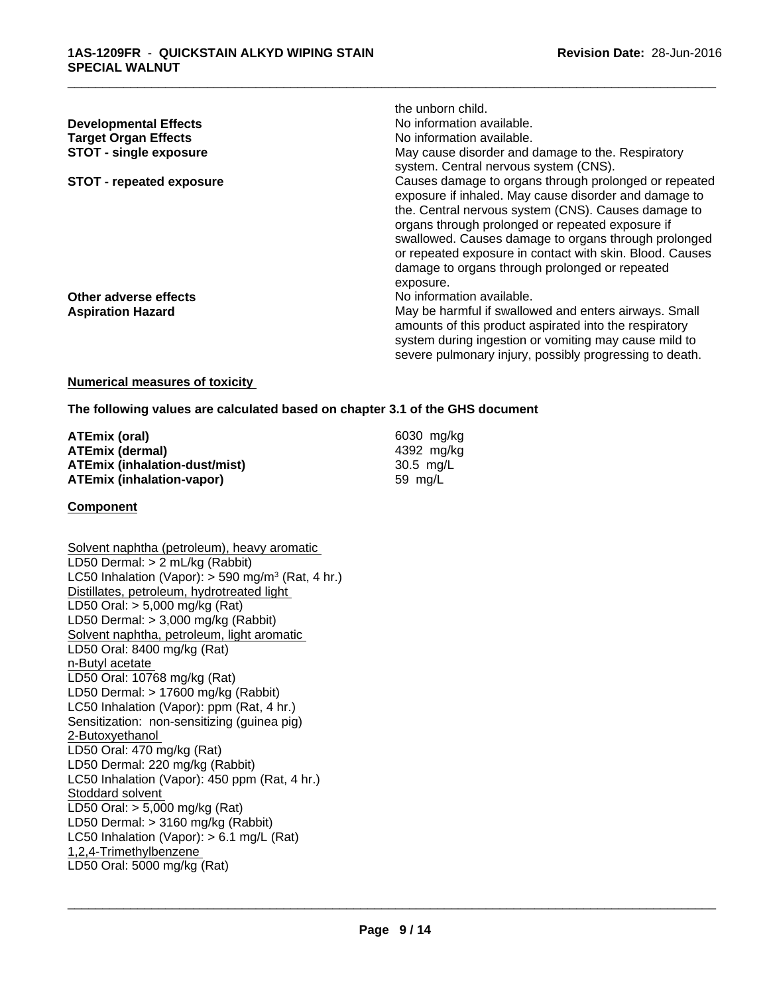|                                 | the unborn child.                                                                                                                                                                                                                                                                                                                                                                                            |
|---------------------------------|--------------------------------------------------------------------------------------------------------------------------------------------------------------------------------------------------------------------------------------------------------------------------------------------------------------------------------------------------------------------------------------------------------------|
| <b>Developmental Effects</b>    | No information available.                                                                                                                                                                                                                                                                                                                                                                                    |
| <b>Target Organ Effects</b>     | No information available.                                                                                                                                                                                                                                                                                                                                                                                    |
| <b>STOT - single exposure</b>   | May cause disorder and damage to the. Respiratory<br>system. Central nervous system (CNS).                                                                                                                                                                                                                                                                                                                   |
| <b>STOT - repeated exposure</b> | Causes damage to organs through prolonged or repeated<br>exposure if inhaled. May cause disorder and damage to<br>the. Central nervous system (CNS). Causes damage to<br>organs through prolonged or repeated exposure if<br>swallowed. Causes damage to organs through prolonged<br>or repeated exposure in contact with skin. Blood. Causes<br>damage to organs through prolonged or repeated<br>exposure. |
| Other adverse effects           | No information available.                                                                                                                                                                                                                                                                                                                                                                                    |
| <b>Aspiration Hazard</b>        | May be harmful if swallowed and enters airways. Small<br>amounts of this product aspirated into the respiratory<br>system during ingestion or vomiting may cause mild to<br>severe pulmonary injury, possibly progressing to death.                                                                                                                                                                          |

#### **Numerical measures of toxicity**

**The following values are calculated based on chapter 3.1 of the GHS document**

| ATEmix (oral)                 | 6030 mg/ka |  |
|-------------------------------|------------|--|
| ATEmix (dermal)               | 4392 mg/ka |  |
| ATEmix (inhalation-dust/mist) | 30.5 ma/L  |  |
| ATEmix (inhalation-vapor)     | 59 mg/L    |  |

#### **Component**

Solvent naphtha (petroleum), heavy aromatic LD50 Dermal: > 2 mL/kg (Rabbit) LC50 Inhalation (Vapor): > 590 mg/m<sup>3</sup> (Rat, 4 hr.) Distillates, petroleum, hydrotreated light LD50 Oral: > 5,000 mg/kg (Rat) LD50 Dermal: > 3,000 mg/kg (Rabbit) Solvent naphtha, petroleum, light aromatic LD50 Oral: 8400 mg/kg (Rat) n-Butyl acetate LD50 Oral: 10768 mg/kg (Rat) LD50 Dermal: > 17600 mg/kg (Rabbit) LC50 Inhalation (Vapor): ppm (Rat, 4 hr.) Sensitization: non-sensitizing (guinea pig) 2-Butoxyethanol LD50 Oral: 470 mg/kg (Rat) LD50 Dermal: 220 mg/kg (Rabbit) LC50 Inhalation (Vapor): 450 ppm (Rat, 4 hr.) Stoddard solvent LD50 Oral: > 5,000 mg/kg (Rat) LD50 Dermal: > 3160 mg/kg (Rabbit) LC50 Inhalation (Vapor): > 6.1 mg/L (Rat) 1,2,4-Trimethylbenzene LD50 Oral: 5000 mg/kg (Rat)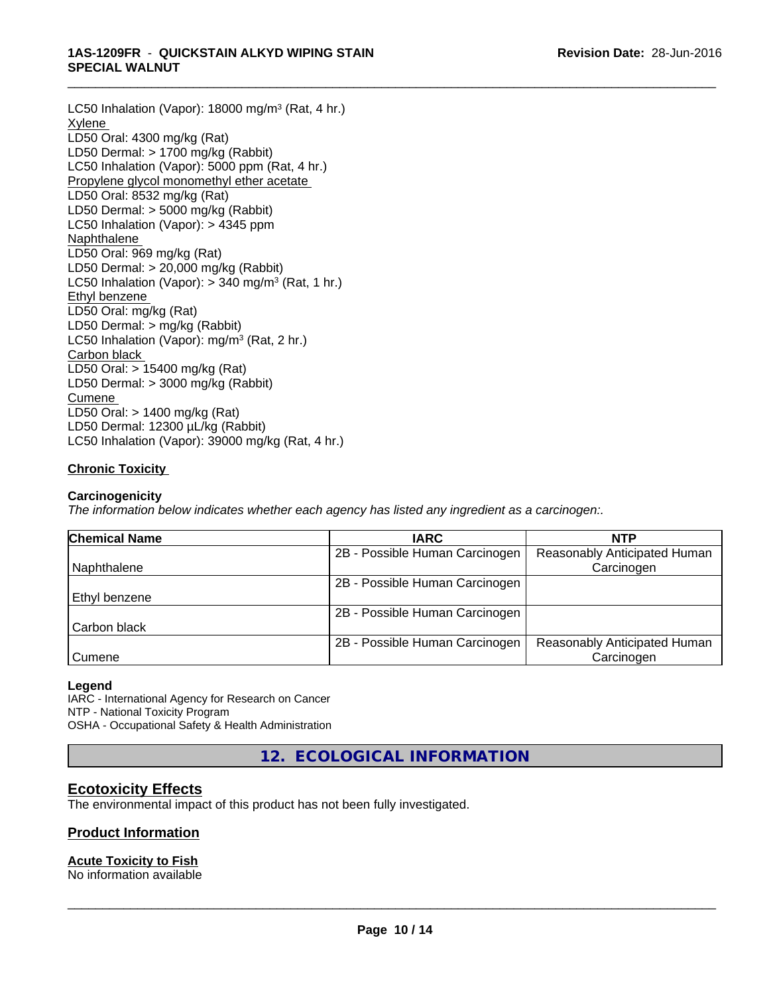LC50 Inhalation (Vapor): 18000 mg/m<sup>3</sup> (Rat, 4 hr.) **Xylene** LD50 Oral: 4300 mg/kg (Rat) LD50 Dermal: > 1700 mg/kg (Rabbit) LC50 Inhalation (Vapor): 5000 ppm (Rat, 4 hr.) Propylene glycol monomethyl ether acetate LD50 Oral: 8532 mg/kg (Rat) LD50 Dermal: > 5000 mg/kg (Rabbit) LC50 Inhalation (Vapor): > 4345 ppm Naphthalene LD50 Oral: 969 mg/kg (Rat) LD50 Dermal: > 20,000 mg/kg (Rabbit) LC50 Inhalation (Vapor): > 340 mg/m<sup>3</sup> (Rat, 1 hr.) Ethyl benzene LD50 Oral: mg/kg (Rat) LD50 Dermal: > mg/kg (Rabbit) LC50 Inhalation (Vapor): mg/m<sup>3</sup> (Rat, 2 hr.) Carbon black LD50 Oral: > 15400 mg/kg (Rat) LD50 Dermal: > 3000 mg/kg (Rabbit) Cumene LD50 Oral: > 1400 mg/kg (Rat) LD50 Dermal: 12300 µL/kg (Rabbit) LC50 Inhalation (Vapor): 39000 mg/kg (Rat, 4 hr.)

## **Chronic Toxicity**

#### **Carcinogenicity**

*The information below indicateswhether each agency has listed any ingredient as a carcinogen:.*

| <b>Chemical Name</b> | <b>IARC</b>                    | <b>NTP</b>                   |  |
|----------------------|--------------------------------|------------------------------|--|
|                      | 2B - Possible Human Carcinogen | Reasonably Anticipated Human |  |
| Naphthalene          |                                | Carcinogen                   |  |
|                      | 2B - Possible Human Carcinogen |                              |  |
| l Ethvl benzene      |                                |                              |  |
|                      | 2B - Possible Human Carcinogen |                              |  |
| Carbon black         |                                |                              |  |
|                      | 2B - Possible Human Carcinogen | Reasonably Anticipated Human |  |
| Cumene               |                                | Carcinogen                   |  |

#### **Legend**

IARC - International Agency for Research on Cancer NTP - National Toxicity Program OSHA - Occupational Safety & Health Administration

**12. ECOLOGICAL INFORMATION**

## **Ecotoxicity Effects**

The environmental impact of this product has not been fully investigated.

### **Product Information**

### **Acute Toxicity to Fish**

No information available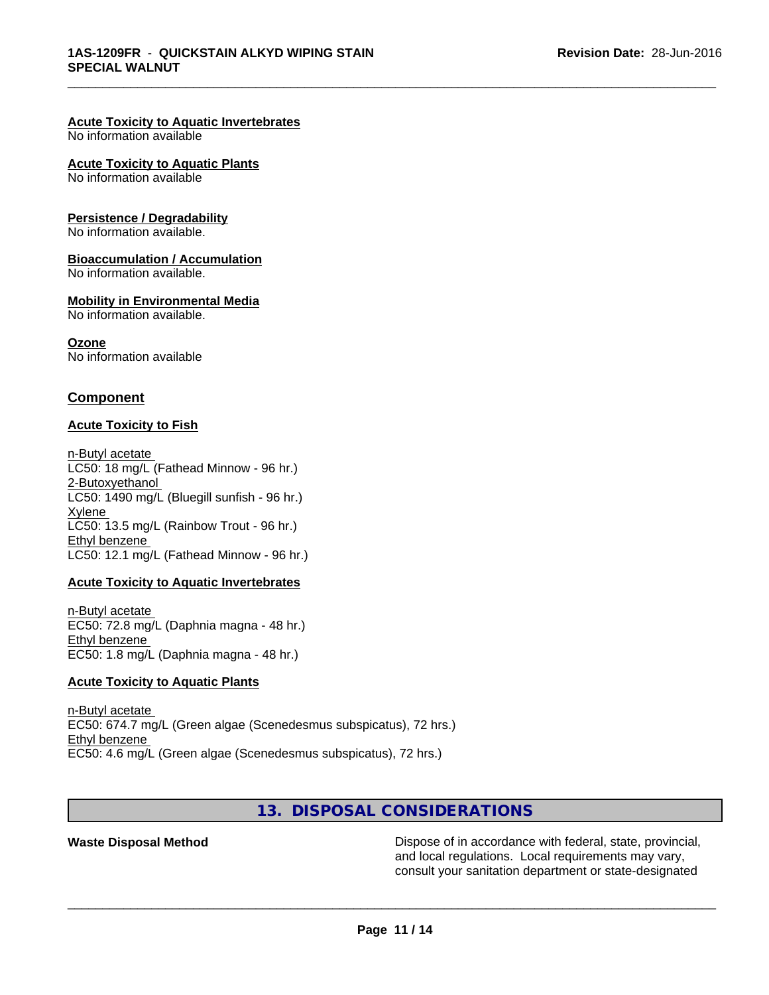#### **Acute Toxicity to Aquatic Invertebrates**

No information available

#### **Acute Toxicity to Aquatic Plants**

No information available

#### **Persistence / Degradability**

No information available.

#### **Bioaccumulation / Accumulation**

No information available.

#### **Mobility in Environmental Media**

No information available.

#### **Ozone**

No information available

## **Component**

#### **Acute Toxicity to Fish**

n-Butyl acetate LC50: 18 mg/L (Fathead Minnow - 96 hr.) 2-Butoxyethanol LC50:  $1490$  mg/L (Bluegill sunfish - 96 hr.) Xylene LC50: 13.5 mg/L (Rainbow Trout - 96 hr.) Ethyl benzene LC50: 12.1 mg/L (Fathead Minnow - 96 hr.)

#### **Acute Toxicity to Aquatic Invertebrates**

n-Butyl acetate EC50: 72.8 mg/L (Daphnia magna - 48 hr.) Ethyl benzene EC50: 1.8 mg/L (Daphnia magna - 48 hr.)

### **Acute Toxicity to Aquatic Plants**

n-Butyl acetate EC50: 674.7 mg/L (Green algae (Scenedesmus subspicatus), 72 hrs.) Ethyl benzene EC50: 4.6 mg/L (Green algae (Scenedesmus subspicatus), 72 hrs.)

# **13. DISPOSAL CONSIDERATIONS**

**Waste Disposal Method Dispose of in accordance with federal, state, provincial,** and local regulations. Local requirements may vary, consult your sanitation department or state-designated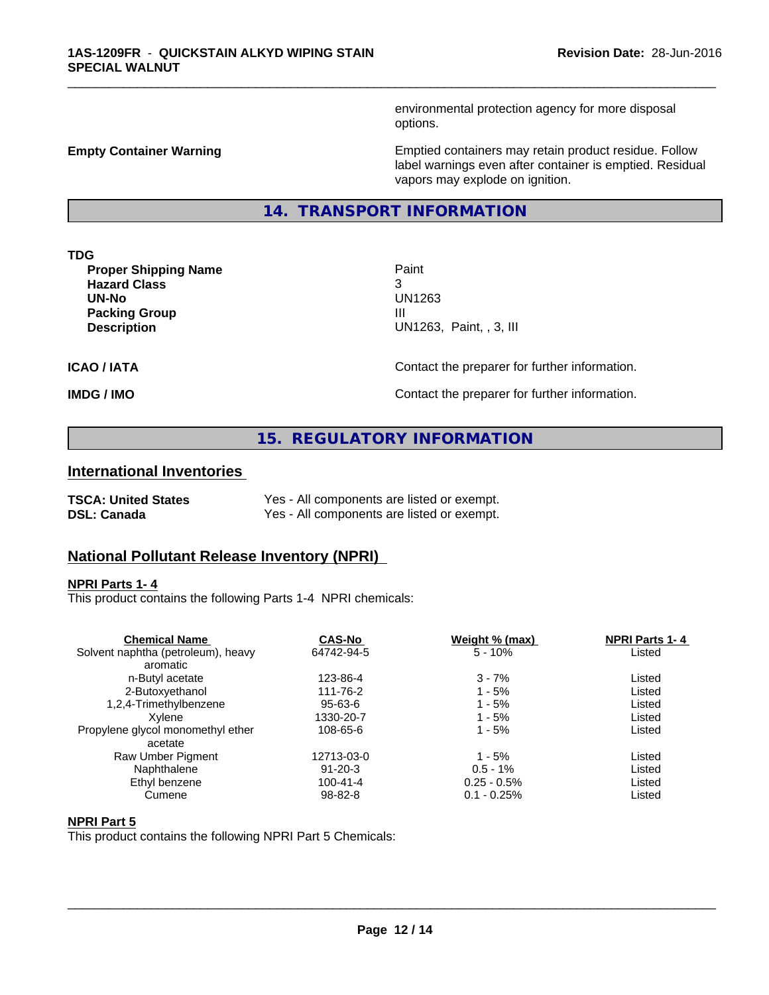environmental protection agency for more disposal options.

**Empty Container Warning <b>Emptied** Containers may retain product residue. Follow label warnings even after container is emptied. Residual vapors may explode on ignition.

**14. TRANSPORT INFORMATION**

**TDG**

**Proper Shipping Name Paint Hazard Class** 3 **UN-No** UN1263 **Packing Group III**<br> **Packing Group** 

**UN1263, Paint, , 3, III** 

\_\_\_\_\_\_\_\_\_\_\_\_\_\_\_\_\_\_\_\_\_\_\_\_\_\_\_\_\_\_\_\_\_\_\_\_\_\_\_\_\_\_\_\_\_\_\_\_\_\_\_\_\_\_\_\_\_\_\_\_\_\_\_\_\_\_\_\_\_\_\_\_\_\_\_\_\_\_\_\_\_\_\_\_\_\_\_\_\_\_\_\_\_

**ICAO / IATA** Contact the preparer for further information.

**IMDG / IMO Contact the preparer for further information.** 

## **15. REGULATORY INFORMATION**

## **International Inventories**

| <b>TSCA: United States</b> | Yes - All components are listed or exempt. |
|----------------------------|--------------------------------------------|
| <b>DSL: Canada</b>         | Yes - All components are listed or exempt. |

## **National Pollutant Release Inventory (NPRI)**

#### **NPRI Parts 1- 4**

This product contains the following Parts 1-4 NPRI chemicals:

| <b>Chemical Name</b>               | <b>CAS-No</b>  | Weight % (max) | <b>NPRI Parts 1-4</b> |  |
|------------------------------------|----------------|----------------|-----------------------|--|
| Solvent naphtha (petroleum), heavy | 64742-94-5     | $5 - 10%$      | Listed                |  |
| aromatic                           |                |                |                       |  |
| n-Butyl acetate                    | 123-86-4       | $3 - 7%$       | Listed                |  |
| 2-Butoxyethanol                    | 111-76-2       | $1 - 5%$       | Listed                |  |
| 1,2,4-Trimethylbenzene             | 95-63-6        | 1 - 5%         | Listed                |  |
| Xvlene                             | 1330-20-7      | 1 - 5%         | Listed                |  |
| Propylene glycol monomethyl ether  | 108-65-6       | $1 - 5%$       | Listed                |  |
| acetate                            |                |                |                       |  |
| Raw Umber Pigment                  | 12713-03-0     | $1 - 5%$       | Listed                |  |
| Naphthalene                        | $91 - 20 - 3$  | $0.5 - 1\%$    | Listed                |  |
| Ethyl benzene                      | $100 - 41 - 4$ | $0.25 - 0.5\%$ | Listed                |  |
| Cumene                             | $98 - 82 - 8$  | $0.1 - 0.25%$  | Listed                |  |
|                                    |                |                |                       |  |

#### **NPRI Part 5**

This product contains the following NPRI Part 5 Chemicals: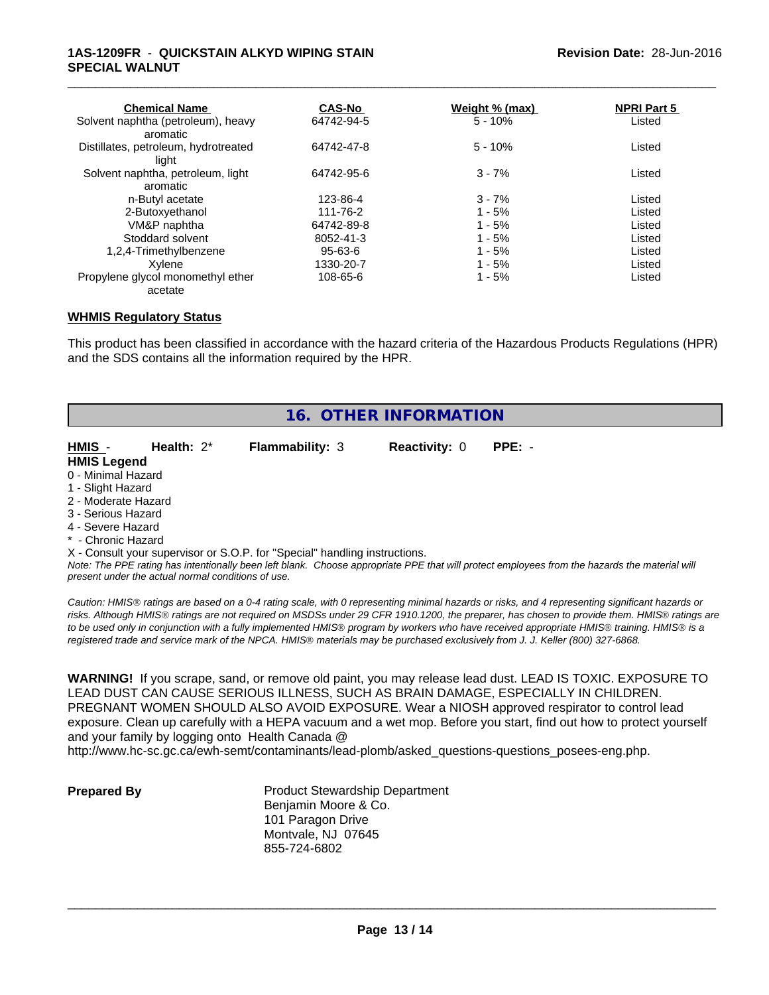#### **1AS-1209FR** - **QUICKSTAIN ALKYD WIPING STAIN SPECIAL WALNUT**

| <b>Chemical Name</b>                 | <b>CAS-No</b> | Weight % (max) | <b>NPRI Part 5</b> |  |
|--------------------------------------|---------------|----------------|--------------------|--|
| Solvent naphtha (petroleum), heavy   | 64742-94-5    | $5 - 10%$      | Listed             |  |
| aromatic                             |               |                |                    |  |
| Distillates, petroleum, hydrotreated | 64742-47-8    | $5 - 10%$      | Listed             |  |
| liaht                                |               |                |                    |  |
| Solvent naphtha, petroleum, light    | 64742-95-6    | $3 - 7%$       | Listed             |  |
| aromatic                             |               |                |                    |  |
| n-Butyl acetate                      | 123-86-4      | $3 - 7%$       | Listed             |  |
| 2-Butoxyethanol                      | 111-76-2      | $1 - 5%$       | Listed             |  |
| VM&P naphtha                         | 64742-89-8    | $1 - 5%$       | Listed             |  |
| Stoddard solvent                     | 8052-41-3     | $1 - 5%$       | Listed             |  |
| 1,2,4-Trimethylbenzene               | 95-63-6       | $1 - 5%$       | Listed             |  |
| Xvlene                               | 1330-20-7     | $1 - 5%$       | Listed             |  |
| Propylene glycol monomethyl ether    | 108-65-6      | $1 - 5%$       | Listed             |  |
| acetate                              |               |                |                    |  |

\_\_\_\_\_\_\_\_\_\_\_\_\_\_\_\_\_\_\_\_\_\_\_\_\_\_\_\_\_\_\_\_\_\_\_\_\_\_\_\_\_\_\_\_\_\_\_\_\_\_\_\_\_\_\_\_\_\_\_\_\_\_\_\_\_\_\_\_\_\_\_\_\_\_\_\_\_\_\_\_\_\_\_\_\_\_\_\_\_\_\_\_\_

#### **WHMIS Regulatory Status**

This product has been classified in accordance with the hazard criteria of the Hazardous Products Regulations (HPR) and the SDS contains all the information required by the HPR.

| HMIS -<br>Health: $2^*$<br><b>Flammability: 3</b><br><b>Reactivity: 0</b><br>$PPE: -$<br><b>HMIS Legend</b><br>0 - Minimal Hazard<br>1 - Slight Hazard<br>2 - Moderate Hazard<br>3 - Serious Hazard<br>4 - Severe Hazard<br>* - Chronic Hazard | 16. OTHER INFORMATION |  |  |  |  |
|------------------------------------------------------------------------------------------------------------------------------------------------------------------------------------------------------------------------------------------------|-----------------------|--|--|--|--|
|                                                                                                                                                                                                                                                |                       |  |  |  |  |
|                                                                                                                                                                                                                                                |                       |  |  |  |  |
|                                                                                                                                                                                                                                                |                       |  |  |  |  |
|                                                                                                                                                                                                                                                |                       |  |  |  |  |
|                                                                                                                                                                                                                                                |                       |  |  |  |  |
|                                                                                                                                                                                                                                                |                       |  |  |  |  |
|                                                                                                                                                                                                                                                |                       |  |  |  |  |
|                                                                                                                                                                                                                                                |                       |  |  |  |  |
| X - Consult your supervisor or S.O.P. for "Special" handling instructions.                                                                                                                                                                     |                       |  |  |  |  |

*Note: The PPE rating has intentionally been left blank. Choose appropriate PPE that will protect employees from the hazards the material will present under the actual normal conditions of use.*

*Caution: HMISÒ ratings are based on a 0-4 rating scale, with 0 representing minimal hazards or risks, and 4 representing significant hazards or risks. Although HMISÒ ratings are not required on MSDSs under 29 CFR 1910.1200, the preparer, has chosen to provide them. HMISÒ ratings are to be used only in conjunction with a fully implemented HMISÒ program by workers who have received appropriate HMISÒ training. HMISÒ is a registered trade and service mark of the NPCA. HMISÒ materials may be purchased exclusively from J. J. Keller (800) 327-6868.*

**WARNING!** If you scrape, sand, or remove old paint, you may release lead dust. LEAD IS TOXIC. EXPOSURE TO LEAD DUST CAN CAUSE SERIOUS ILLNESS, SUCH AS BRAIN DAMAGE, ESPECIALLY IN CHILDREN. PREGNANT WOMEN SHOULD ALSO AVOID EXPOSURE.Wear a NIOSH approved respirator to control lead exposure. Clean up carefully with a HEPA vacuum and a wet mop. Before you start, find out how to protect yourself and your family by logging onto Health Canada @

http://www.hc-sc.gc.ca/ewh-semt/contaminants/lead-plomb/asked\_questions-questions\_posees-eng.php.

**Prepared By** Product Stewardship Department Benjamin Moore & Co. 101 Paragon Drive Montvale, NJ 07645 855-724-6802